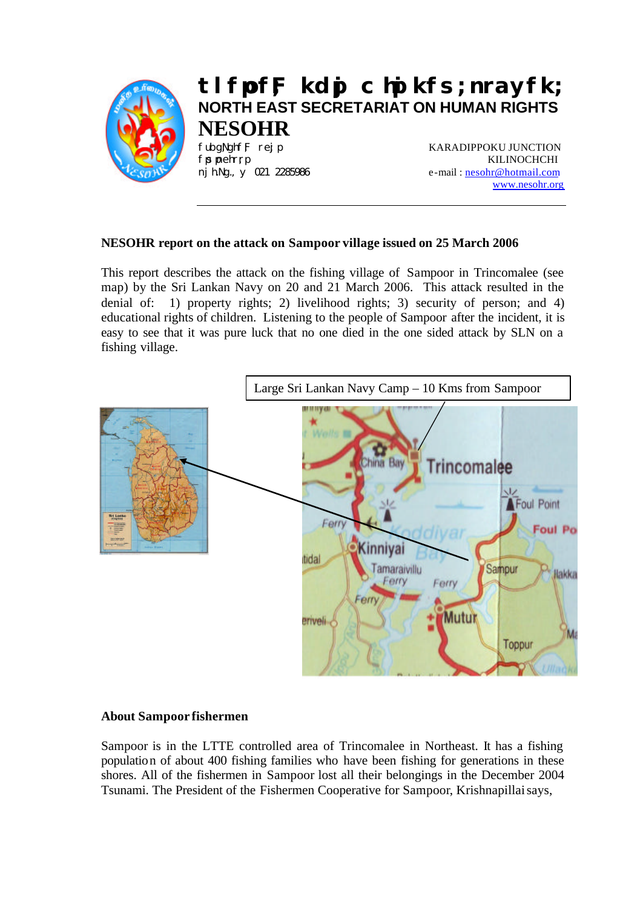

# **tlfpof;F kdpj chpikfs; nrayfk; NORTH EAST SECRETARIAT ON HUMAN RIGHTS NESOHR**

fubgNghf;F rej p KARADIPPOKU JUNCTION fpspehr;rp KILINOCHCHI nj h.Ng., y 021 2285986 e-mail: nesohr@hotmail.com www.nesohr.org

## **NESOHR report on the attack on Sampoor village issued on 25 March 2006**

This report describes the attack on the fishing village of Sampoor in Trincomalee (see map) by the Sri Lankan Navy on 20 and 21 March 2006. This attack resulted in the denial of: 1) property rights; 2) livelihood rights; 3) security of person; and 4) educational rights of children. Listening to the people of Sampoor after the incident, it is easy to see that it was pure luck that no one died in the one sided attack by SLN on a fishing village.



#### **About Sampoor fishermen**

Sampoor is in the LTTE controlled area of Trincomalee in Northeast. It has a fishing population of about 400 fishing families who have been fishing for generations in these shores. All of the fishermen in Sampoor lost all their belongings in the December 2004 Tsunami. The President of the Fishermen Cooperative for Sampoor, Krishnapillai says,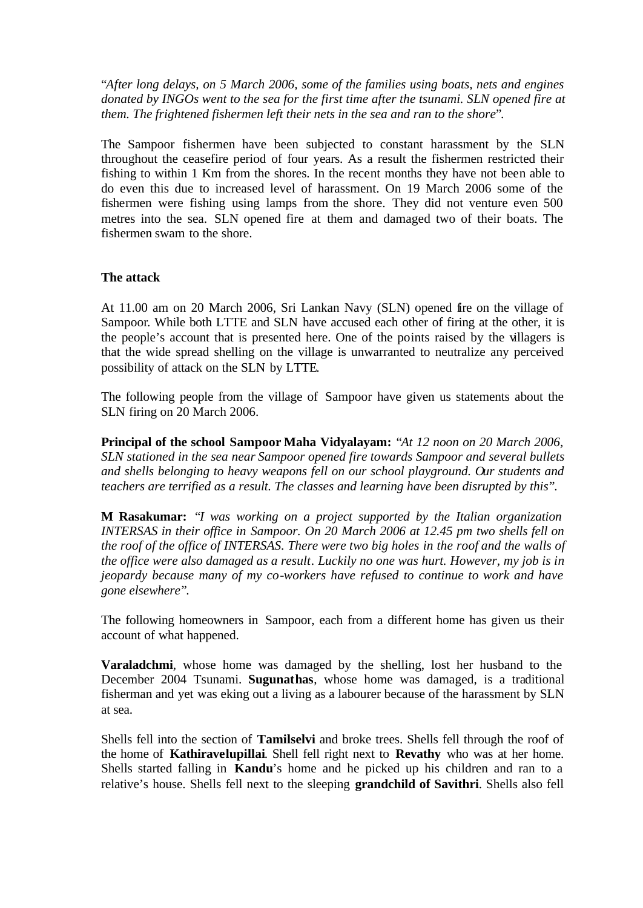"*After long delays, on 5 March 2006, some of the families using boats, nets and engines donated by INGOs went to the sea for the first time after the tsunami. SLN opened fire at them. The frightened fishermen left their nets in the sea and ran to the shore*".

The Sampoor fishermen have been subjected to constant harassment by the SLN throughout the ceasefire period of four years. As a result the fishermen restricted their fishing to within 1 Km from the shores. In the recent months they have not been able to do even this due to increased level of harassment. On 19 March 2006 some of the fishermen were fishing using lamps from the shore. They did not venture even 500 metres into the sea. SLN opened fire at them and damaged two of their boats. The fishermen swam to the shore.

## **The attack**

At 11.00 am on 20 March 2006, Sri Lankan Navy (SLN) opened fire on the village of Sampoor. While both LTTE and SLN have accused each other of firing at the other, it is the people's account that is presented here. One of the points raised by the villagers is that the wide spread shelling on the village is unwarranted to neutralize any perceived possibility of attack on the SLN by LTTE.

The following people from the village of Sampoor have given us statements about the SLN firing on 20 March 2006.

**Principal of the school Sampoor Maha Vidyalayam:** "*At 12 noon on 20 March 2006, SLN stationed in the sea near Sampoor opened fire towards Sampoor and several bullets and shells belonging to heavy weapons fell on our school playground. Our students and teachers are terrified as a result. The classes and learning have been disrupted by this*".

**M Rasakumar:** "*I was working on a project supported by the Italian organization INTERSAS in their office in Sampoor. On 20 March 2006 at 12.45 pm two shells fell on the roof of the office of INTERSAS. There were two big holes in the roof and the walls of the office were also damaged as a result. Luckily no one was hurt. However, my job is in jeopardy because many of my co-workers have refused to continue to work and have gone elsewhere*".

The following homeowners in Sampoor, each from a different home has given us their account of what happened.

**Varaladchmi**, whose home was damaged by the shelling, lost her husband to the December 2004 Tsunami. **Sugunathas**, whose home was damaged, is a traditional fisherman and yet was eking out a living as a labourer because of the harassment by SLN at sea.

Shells fell into the section of **Tamilselvi** and broke trees. Shells fell through the roof of the home of **Kathiravelupillai**. Shell fell right next to **Revathy** who was at her home. Shells started falling in **Kandu**'s home and he picked up his children and ran to a relative's house. Shells fell next to the sleeping **grandchild of Savithri**. Shells also fell